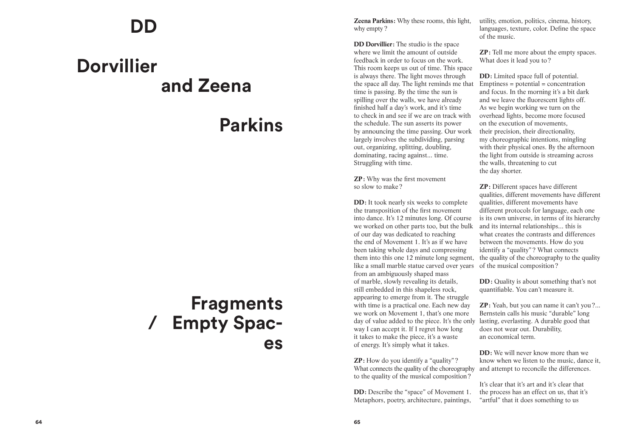## **DD**

# **and Zeena Dorvillier/**

### **Parkins**

## **Simple de la de la de la de la de la de la de la de la de la de la de la de la de la de la de la de la de la de la de la de la de la de la de la de la de la de la de la de la de la de la de la de la de la de la de la de l Fragments Empty Spaces**

**Parkins:** Why these rooms, this light, why empty ?

**DD Dorvillier :** The studio is the space where we limit the amount of outside feedback in order to focus on the work. This room keeps us out of time. This space is always there. The light moves through the space all day. The light reminds me that time is passing. By the time the sun is spilling over the walls, we have already finished half a day's work, and it's time to check in and see if we are on track with the schedule. The sun asserts its power by announcing the time passing. Our work largely involves the subdividing, parsing out, organizing, splitting, doubling, dominating, racing against... time. Struggling with time.

**ZP :**  Why was the first movement so slow to make ?

**DD**: It took nearly six weeks to complete the transposition of the first movement into dance. It's 12 minutes long. Of course we worked on other parts too, but the bulk of our day was dedicated to reaching the end of Movement 1. It's as if we have been taking whole days and compressing them into this one 12 minute long segment, like a small marble statue carved over years from an ambiguously shaped mass of marble, slowly revealing its details, still embedded in this shapeless rock, appearing to emerge from it. The struggle with time is a practical one. Each new day we work on Movement 1, that's one more day of value added to the piece. It's the only lasting, everlasting. A durable good that way I can accept it. If I regret how long it takes to make the piece, it's a waste of energy. It's simply what it takes.

**ZP**: How do you identify a "quality"? What connects the quality of the choreography to the quality of the musical composition ?

**DD**: Describe the "space" of Movement 1. Metaphors, poetry, architecture, paintings,

utility, emotion, politics, cinema, history, languages, texture, color. Define the space of the music.

**ZP**: Tell me more about the empty spaces. What does it lead you to ?

**DD**: Limited space full of potential.  $Emptions = potential = concentration$ and focus. In the morning it's a bit dark and we leave the fluorescent lights off. As we begin working we turn on the overhead lights, become more focused on the execution of movements, their precision, their directionality, my choreographic intentions, mingling with their physical ones. By the afternoon the light from outside is streaming across the walls, threatening to cut the day shorter.

**ZP :**  Different spaces have different qualities, different movements have different qualities, different movements have different protocols for language, each one is its own universe, in terms of its hierarchy and its internal relationships... this is what creates the contrasts and differences between the movements. How do you identify a "quality"? What connects the quality of the choreography to the quality of the musical composition ?

**DD**: Quality is about something that's not quantifiable. You can't measure it.

**ZP**: Yeah, but you can name it can't you?... Bernstein calls his music "durable" long does not wear out. Durability, an economical term.

**DD**: We will never know more than we know when we listen to the music, dance it, and attempt to reconcile the differences. It's clear that it's art and it's clear that

the process has an effect on us, that it's "artful" that it does something to us